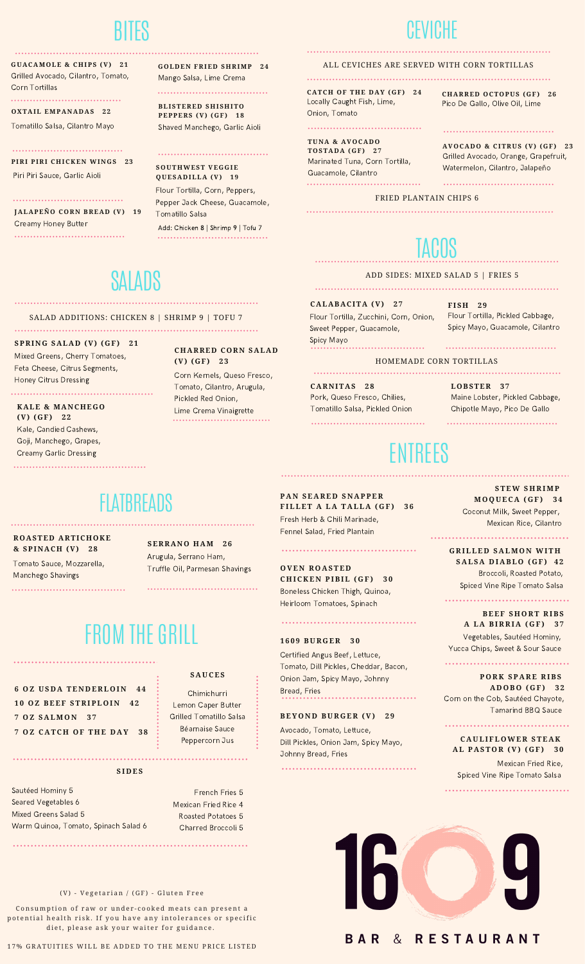# BITES

**SALADS** 

SALAD ADDITIONS: CHICKEN 8 | SHRIMP 9 | TOFU 7

**GUACAMOLE & C H IPS (V) 21** Grilled Avocado, Cilantro, Tomato, Corn Tortillas

**OXTAIL EMPANADAS 22**

Tomatillo Salsa, Cilantro Mayo

**PIRI PIRI C H ICKEN WINGS 23**

Piri Piri Sauce, Garlic Aioli

**JALAPEÑO CORN BREAD (V) 19** Creamy Honey Butter

**GOLDEN FRIED S H RIMP 24** Mango Salsa, Lime Crema

**BLISTERED S H IS H ITO**

**PEPPERS (V) (GF) 18** Shaved Manchego, Garlic Aioli

# **SOUTHWEST VEGGIE**

**QUESADILLA (V) 19** Flour Tortilla, Corn, Peppers, Pepper Jack Cheese, Guacamole, Tomatillo Salsa

Add: Chicken 8 | Shrimp 9 | Tofu 7

# CEVICHE

ALL CEVICHES ARE SERVED WITH CORN TORTILLAS

**CATC H OF T H E DAY (GF) 24** Locally Caught Fish, Lime, Onion, Tomato

### 

**TUNA & AVOCADO TOSTADA (GF) 27** Marinated Tuna, Corn Tortilla, Guacamole, Cilantro **C H ARRED OCTOPUS (GF) 26** Pico De Gallo, Olive Oil, Lime

### 

**AVOCADO & CITRUS (V) (GF) 23** Grilled Avocado, Orange, Grapefruit, Watermelon, Cilantro, Jalapeño

### FRIED PLANTAIN CHIPS 6

# **TACOS**

ADD SIDES: MIXED SALAD 5 | FRIES 5

**CALABACITA (V) 27** Sweet Pepper, Guacamole, Spicy Mayo

**FIS H 29** Flour Tortilla, Zucchini, Corn, Onion, Flour Tortilla, Pickled Cabbage,

### **SPRING SALAD (V) (GF) 21**

Mixed Greens, Cherry Tomatoes, Feta Cheese, Citrus Segments, Honey Citrus Dressing

# **(V) (GF) 22** Kale, Candied Cashews,

Goji, Manchego, Grapes, Creamy Garlic Dressing 

**ROASTED ARTICHOKE & SPINAC H (V) 28** Tomato Sauce, Mozzarella, Manchego Shavings

**C H ARRED CORN SALAD (V) (GF) 23**

Corn Kernels, Queso Fresco, Tomato, Cilantro, Arugula, Pickled Red Onion, Lime Crema Vinaigrette **KALE & MANC H EGO** . . . . . . . .

Spicy Mayo, Guacamole, Cilantro

# HOMEMADE CORN TORTILLAS

**CARNITAS 28** Pork, Queso Fresco, Chilies, Tomatillo Salsa, Pickled Onion

**LOBSTER 37** Maine Lobster, Pickled Cabbage, Chipotle Mayo, Pico De Gallo

# ENTREES

**STEW S H R I M P M O Q U EC A ( G F ) 3 4** Coconut Milk, Sweet Pepper, Mexican Rice, Cilantro

### **G R ILLE D S A L M O N WIT H S A LS A D I A BL O ( G F ) 4 2** Broccoli, Roasted Potato, Spiced Vine Ripe Tomato Salsa

### **BEEF S H O R T R IBS A L A BI R R I A ( G F ) 3 7**

Vegetables, Sautéed Hominy, Yucca Chips, Sweet & Sour Sauce

### **P O R K S P A R E R IBS**

**A D O B O ( G F ) 3 2** Corn on the Cob, Sautéed Chayote,

# **C A U LI FL OWE R STE A K**

Mexican Fried Rice, Spiced Vine Ripe Tomato Salsa

### **6 O Z U S D A TE N D E R L O I N 4 4 1 0 O Z BEEF ST R I PL O I N 4 2 7 O Z S A L M O N 3 7 7 O Z C A TC H O F T H E D A Y 3 8 S A U CES** Chimichurri Lemon Caper Butter Grilled Tomatillo Salsa Béarnaise Sauce

FROM THE GRILL

**FLATBREADS** 

# **S I D ES**

Sautéed Hominy 5 Seared Vegetables 6 Mixed Greens Salad 5 Warm Quinoa, Tomato, Spinach Salad 6

French Fries 5 Mexican Fried Rice 4 Roasted Potatoes 5 Charred Broccoli 5

Peppercorn Jus

**SERRANO H AM 26** Arugula, Serrano Ham, Truffle Oil, Parmesan Shavings

### (V) - Vegetarian / (GF) - Gluten Free

Consumption of raw or under-cooked meats can present a potential health risk. If you have any intolerances or specific diet, please ask your waiter for guidance.

# **P A N SE A R E D S N A P PE R**

**F ILLET A L A T A LL A ( G F ) 3 6** Fresh Herb & Chili Marinade,

**O VE N R O A STE D C H IC K E N P IBIL ( G F ) 3 0**

Tomato, Dill Pickles, Cheddar, Bacon,

Avocado, Tomato, Lettuce, Dill Pickles, Onion Jam, Spicy Mayo, Johnny Bread, Fries

Tamarind BBQ Sauce **A L P A ST O R (V) ( G F ) 3 0**



# Fennel Salad, Fried Plantain

Boneless Chicken Thigh, Quinoa, Heirloom Tomatoes, Spinach

# **1 6 0 9 B U R G E R 3 0**

Certified Angus Beef, Lettuce, Onion Jam, Spicy Mayo, Johnny Bread, Fries<br> **Bread, Experience Continuously Proposed Continuously** 

**BEY O N D B U R G E R (V) 2 9**